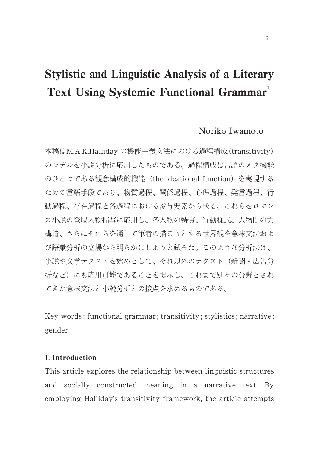# Stylistic and Linguistic Analysis of a Literary Text Using Systemic Functional Grammar<sup>1</sup>

## Noriko Iwamoto

本稿はM.A.K.Halliday の機能主義文法における過程構成 (transitivity) のモデルを小説分析に応用したものである。過程構成は言語のメタ機能 のひとつである観念構成的機能 (the ideational function) を実現する ための言語手段であり、物質過程、関係過程、心理過程、発言過程、行 動過程、存在過程と各過程における参与要素から成る。これらをロマン ス小説の登場人物描写に応用し、各人物の特質、行動様式、人物間の力 構造、さらにそれらを通して筆者の描こうとする世界観を意味文法およ び語彙分析の立場から明らかにしようと試みた。このような分析法は、 小説や文学テクストを始めとして、それ以外のテクスト(新聞・広告分 析など)にも応用可能であることを提示し、これまで別々の分野とされ てきた意味文法と小説分析との接点を求めるものである。

Key words : functional grammar ; transitivity ; stylistics ; narrative ; gender

## 1. Introduction

This article explores the relationship between linguistic structures and socially constructed meaning in a narrative text. By employing Halliday's transitivity framework, the article attempts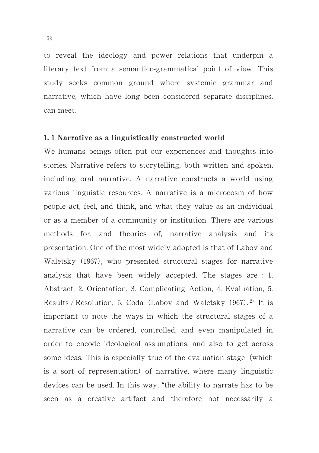to reveal the ideology and power relations that underpin a literary text from a semantico-grammatical point of view. This study seeks common ground where systemic grammar and narrative, which have long been considered separate disciplines, can meet.

## 1. 1 Narrative as a linguistically constructed world

We humans beings often put our experiences and thoughts into stories. Narrative refers to storytelling, both written and spoken, including oral narrative. A narrative constructs a world using various linguistic resources. A narrative is a microcosm of how people act, feel, and think, and what they value as an individual or as a member of a community or institution. There are various methods for, and theories of, narrative analysis and its presentation. One of the most widely adopted is that of Labov and Waletsky (1967), who presented structural stages for narrative analysis that have been widely accepted. The stages are  $: 1$ . Abstract, 2. Orientation, 3. Complicating Action, 4. Evaluation, 5. Results / Resolution, 5. Coda (Labov and Waletsky 1967).<sup>2)</sup> It is important to note the ways in which the structural stages of a narrative can be ordered, controlled, and even manipulated in order to encode ideological assumptions, and also to get across some ideas. This is especially true of the evaluation stage (which is a sort of representation) of narrative, where many linguistic devices can be used. In this way, "the ability to narrate has to be seen as a creative artifact and therefore not necessarily a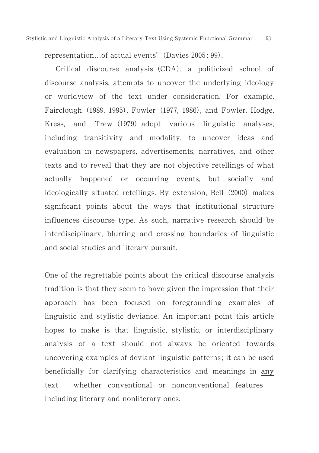representation...of actual events" (Davies 2005: 99).

Critical discourse analysis (CDA), a politicized school of discourse analysis, attempts to uncover the underlying ideology or worldview of the text under consideration. For example, Fairclough (1989, 1995), Fowler (1977, 1986), and Fowler, Hodge, Kress, and Trew (1979) adopt various linguistic analyses, including transitivity and modality, to uncover ideas and evaluation in newspapers, advertisements, narratives, and other texts and to reveal that they are not objective retellings of what actually happened or occurring events, but socially and ideologically situated retellings. By extension, Bell (2000) makes significant points about the ways that institutional structure influences discourse type. As such, narrative research should be interdisciplinary, blurring and crossing boundaries of linguistic and social studies and literary pursuit.

One of the regrettable points about the critical discourse analysis tradition is that they seem to have given the impression that their approach has been focused on foregrounding examples of linguistic and stylistic deviance. An important point this article hopes to make is that linguistic, stylistic, or interdisciplinary analysis of a text should not always be oriented towards uncovering examples of deviant linguistic patterns ; it can be used beneficially for clarifying characteristics and meanings in any text  $-$  whether conventional or nonconventional features  $$ including literary and nonliterary ones.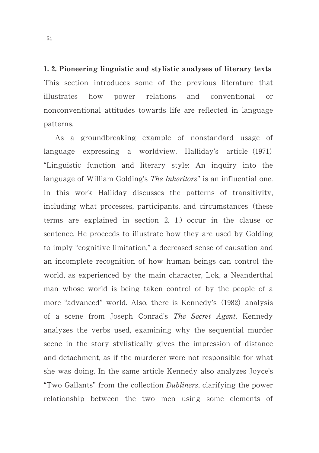1. 2. Pioneering linguistic and stylistic analyses of literary texts This section introduces some of the previous literature that illustrates how power relations and conventional or nonconventional attitudes towards life are reflected in language patterns.

As a groundbreaking example of nonstandard usage of language expressing a worldview, Halliday's article (1971) "Linguistic function and literary style: An inquiry into the language of William Golding's *The Inheritors*" is an influential one. In this work Halliday discusses the patterns of transitivity, including what processes, participants, and circumstances (these terms are explained in section 2. 1.) occur in the clause or sentence. He proceeds to illustrate how they are used by Golding to imply "cognitive limitation," a decreased sense of causation and an incomplete recognition of how human beings can control the world, as experienced by the main character, Lok, a Neanderthal man whose world is being taken control of by the people of a more "advanced" world. Also, there is Kennedy's (1982) analysis of a scene from Joseph Conrad's The Secret Agent. Kennedy analyzes the verbs used, examining why the sequential murder scene in the story stylistically gives the impression of distance and detachment, as if the murderer were not responsible for what she was doing. In the same article Kennedy also analyzes Joyce's "Two Gallants" from the collection Dubliners, clarifying the power relationship between the two men using some elements of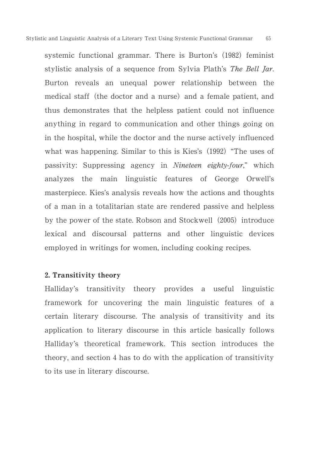systemic functional grammar. There is Burton's (1982) feminist stylistic analysis of a sequence from Sylvia Plath's The Bell Jar. Burton reveals an unequal power relationship between the medical staff (the doctor and a nurse) and a female patient, and thus demonstrates that the helpless patient could not influence anything in regard to communication and other things going on in the hospital, while the doctor and the nurse actively influenced what was happening. Similar to this is Kies's (1992) "The uses of passivity: Suppressing agency in Nineteen eighty-four," which analyzes the main linguistic features of George Orwell's masterpiece. Kies's analysis reveals how the actions and thoughts of a man in a totalitarian state are rendered passive and helpless by the power of the state. Robson and Stockwell (2005) introduce lexical and discoursal patterns and other linguistic devices employed in writings for women, including cooking recipes.

## 2. Transitivity theory

Halliday's transitivity theory provides a useful linguistic framework for uncovering the main linguistic features of a certain literary discourse. The analysis of transitivity and its application to literary discourse in this article basically follows Halliday's theoretical framework. This section introduces the theory, and section 4 has to do with the application of transitivity to its use in literary discourse.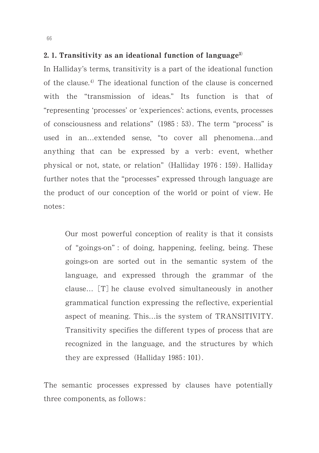## 2.1. Transitivity as an ideational function of language<sup>3)</sup>

In Halliday's terms, transitivity is a part of the ideational function of the clause.<sup>4)</sup> The ideational function of the clause is concerned with the "transmission of ideas." Its function is that of "representing 'processes' or 'experiences': actions, events, processes of consciousness and relations" (1985: 53). The term "process" is used in an…extended sense, "to cover all phenomena…and anything that can be expressed by a verb: event, whether physical or not, state, or relation" (Halliday 1976: 159). Halliday further notes that the "processes" expressed through language are the product of our conception of the world or point of view. He notes :

Our most powerful conception of reality is that it consists of "goings-on" : of doing, happening, feeling, being. These goings-on are sorted out in the semantic system of the language, and expressed through the grammar of the clause... [T] he clause evolved simultaneously in another grammatical function expressing the reflective, experiential aspect of meaning. This…is the system of TRANSITIVITY. Transitivity specifies the different types of process that are recognized in the language, and the structures by which they are expressed  $(Halliday 1985: 101)$ .

The semantic processes expressed by clauses have potentially three components, as follows :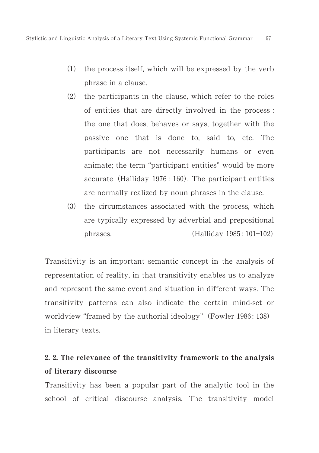- $(1)$  the process itself, which will be expressed by the verb phrase in a clause.
- (2) the participants in the clause, which refer to the roles of entities that are directly involved in the process : the one that does, behaves or says, together with the passive one that is done to, said to, etc. The participants are not necessarily humans or even animate; the term "participant entities" would be more accurate (Halliday 1976: 160). The participant entities are normally realized by noun phrases in the clause.
- (3) the circumstances associated with the process, which are typically expressed by adverbial and prepositional phrases. Halliday 1985: 101-102)

Transitivity is an important semantic concept in the analysis of representation of reality, in that transitivity enables us to analyze and represent the same event and situation in different ways. The transitivity patterns can also indicate the certain mind-set or worldview "framed by the authorial ideology" (Fowler 1986: 138) in literary texts.

# 2. 2. The relevance of the transitivity framework to the analysis of literary discourse

Transitivity has been a popular part of the analytic tool in the school of critical discourse analysis. The transitivity model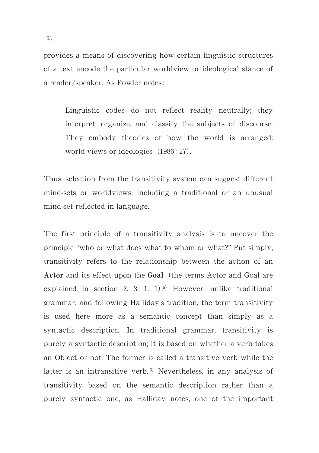provides a means of discovering how certain linguistic structures of a text encode the particular worldview or ideological stance of a reader/speaker. As Fowler notes :

Linguistic codes do not reflect reality neutrally; they interpret, organize, and classify the subjects of discourse. They embody theories of how the world is arranged: world-views or ideologies (1986: 27).

Thus, selection from the transitivity system can suggest different mind-sets or worldviews, including a traditional or an unusual mind-set reflected in language.

The first principle of a transitivity analysis is to uncover the principle "who or what does what to whom or what?" Put simply, transitivity refers to the relationship between the action of an Actor and its effect upon the Goal (the terms Actor and Goal are explained in section 2. 3. 1.  $1$ ).<sup>5)</sup> However, unlike traditional grammar, and following Halliday's tradition, the term transitivity is used here more as a semantic concept than simply as a syntactic description. In traditional grammar, transitivity is purely a syntactic description; it is based on whether a verb takes an Object or not. The former is called a transitive verb while the latter is an intransitive verb.<sup>6)</sup> Nevertheless, in any analysis of transitivity based on the semantic description rather than a purely syntactic one, as Halliday notes, one of the important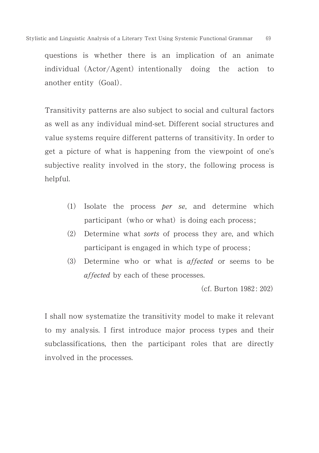questions is whether there is an implication of an animate individual (Actor/Agent) intentionally doing the action to another entity (Goal).

Transitivity patterns are also subject to social and cultural factors as well as any individual mind-set. Different social structures and value systems require different patterns of transitivity. In order to get a picture of what is happening from the viewpoint of one's subjective reality involved in the story, the following process is helpful.

- (1) Isolate the process *per se*, and determine which participant (who or what) is doing each process;
- (2) Determine what sorts of process they are, and which participant is engaged in which type of process ;
- $(3)$  Determine who or what is affected or seems to be affected by each of these processes.

(cf. Burton 1982: 202)

I shall now systematize the transitivity model to make it relevant to my analysis. I first introduce major process types and their subclassifications, then the participant roles that are directly involved in the processes.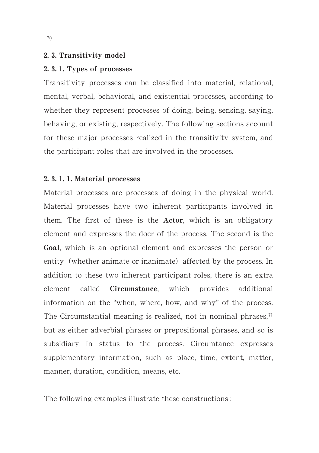#### 2. 3. Transitivity model

## 2, 3, 1. Types of processes

Transitivity processes can be classified into material, relational, mental, verbal, behavioral, and existential processes, according to whether they represent processes of doing, being, sensing, saying, behaving, or existing, respectively. The following sections account for these major processes realized in the transitivity system, and the participant roles that are involved in the processes.

## 2. 3. 1. 1. Material processes

Material processes are processes of doing in the physical world. Material processes have two inherent participants involved in them. The first of these is the Actor, which is an obligatory element and expresses the doer of the process. The second is the Goal, which is an optional element and expresses the person or entity (whether animate or inanimate) affected by the process. In addition to these two inherent participant roles, there is an extra element called Circumstance, which provides additional information on the "when, where, how, and why" of the process. The Circumstantial meaning is realized, not in nominal phrases, $\eta$ but as either adverbial phrases or prepositional phrases, and so is subsidiary in status to the process. Circumtance expresses supplementary information, such as place, time, extent, matter, manner, duration, condition, means, etc.

The following examples illustrate these constructions :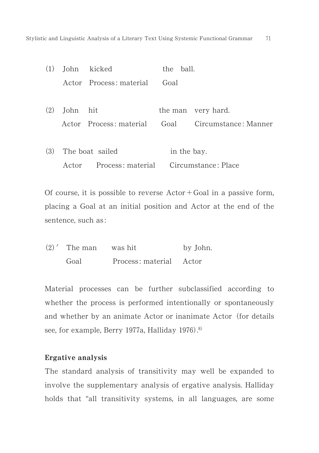| (1) |          | John kicked             | the ball.   |                           |
|-----|----------|-------------------------|-------------|---------------------------|
|     |          | Actor Process: material | Goal        |                           |
| (2) | John hit |                         |             | the man very hard.        |
|     |          | Actor Process: material |             | Goal Circumstance: Manner |
|     |          |                         |             |                           |
| (3) |          | The boat sailed         | in the bay. |                           |
|     | Actor    | Process: material       |             | Circumstance: Place       |

Of course, it is possible to reverse  $Actor + Goal$  in a passive form, placing a Goal at an initial position and Actor at the end of the sentence, such as :

| $(2)'$ The man | was hit                 | by John. |
|----------------|-------------------------|----------|
| Goal           | Process: material Actor |          |

Material processes can be further subclassified according to whether the process is performed intentionally or spontaneously and whether by an animate Actor or inanimate Actor (for details see, for example, Berry 1977a, Halliday 1976).<sup>8)</sup>

## Ergative analysis

The standard analysis of transitivity may well be expanded to involve the supplementary analysis of ergative analysis. Halliday holds that "all transitivity systems, in all languages, are some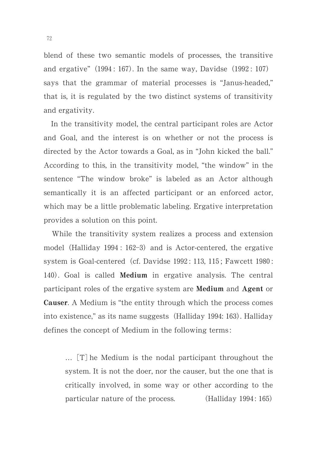blend of these two semantic models of processes, the transitive and ergative"  $(1994: 167)$ . In the same way, Davidse  $(1992: 107)$ says that the grammar of material processes is "Janus-headed," that is, it is regulated by the two distinct systems of transitivity and ergativity.

In the transitivity model, the central participant roles are Actor and Goal, and the interest is on whether or not the process is directed by the Actor towards a Goal, as in "John kicked the ball." According to this, in the transitivity model, "the window" in the sentence "The window broke" is labeled as an Actor although semantically it is an affected participant or an enforced actor, which may be a little problematic labeling. Ergative interpretation provides a solution on this point.

While the transitivity system realizes a process and extension model (Halliday 1994: 162-3) and is Actor-centered, the ergative system is Goal-centered (cf. Davidse 1992: 113, 115; Fawcett 1980: 140). Goal is called **Medium** in ergative analysis. The central participant roles of the ergative system are Medium and Agent or Causer. A Medium is "the entity through which the process comes into existence," as its name suggests (Halliday 1994: 163). Halliday defines the concept of Medium in the following terms :

... [T] he Medium is the nodal participant throughout the system. It is not the doer, nor the causer, but the one that is critically involved, in some way or other according to the particular nature of the process. (Halliday 1994: 165)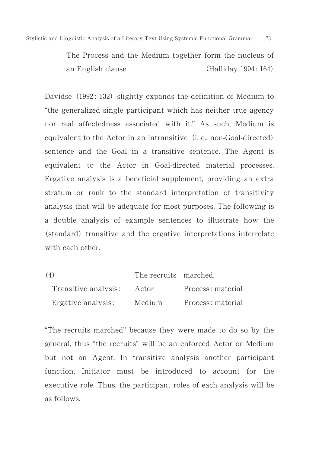The Process and the Medium together form the nucleus of an English clause.  $(Halliday 1994: 164)$ 

Davidse (1992: 132) slightly expands the definition of Medium to "the generalized single participant which has neither true agency nor real affectedness associated with it." As such, Medium is equivalent to the Actor in an intransitive (i. e., non-Goal-directed) sentence and the Goal in a transitive sentence. The Agent is equivalent to the Actor in Goal-directed material processes. Ergative analysis is a beneficial supplement, providing an extra stratum or rank to the standard interpretation of transitivity analysis that will be adequate for most purposes. The following is a double analysis of example sentences to illustrate how the (standard) transitive and the ergative interpretations interrelate with each other.

| (4)                  | The recruits marched. |                   |
|----------------------|-----------------------|-------------------|
| Transitive analysis: | Actor                 | Process: material |
| Ergative analysis:   | Medium                | Process: material |

"The recruits marched" because they were made to do so by the general, thus "the recruits" will be an enforced Actor or Medium but not an Agent. In transitive analysis another participant function, Initiator must be introduced to account for the executive role. Thus, the participant roles of each analysis will be as follows.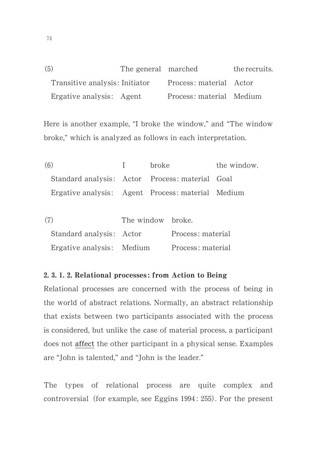| (5)                            | The general marched |                          | the recruits. |
|--------------------------------|---------------------|--------------------------|---------------|
| Transitive analysis: Initiator |                     | Process: material Actor  |               |
| Ergative analysis: Agent       |                     | Process: material Medium |               |

Here is another example, "I broke the window," and "The window broke," which is analyzed as follows in each interpretation.

| (6)                                               | $\mathbf{I}$ | <b>broke</b> | the window. |
|---------------------------------------------------|--------------|--------------|-------------|
| Standard analysis: Actor Process: material Goal   |              |              |             |
| Ergative analysis: Agent Process: material Medium |              |              |             |

| (7) |                           | The window broke. |                   |
|-----|---------------------------|-------------------|-------------------|
|     | Standard analysis: Actor  |                   | Process: material |
|     | Ergative analysis: Medium |                   | Process: material |

## 2. 3. 1. 2. Relational processes: from Action to Being

Relational processes are concerned with the process of being in the world of abstract relations. Normally, an abstract relationship that exists between two participants associated with the process is considered, but unlike the case of material process, a participant does not affect the other participant in a physical sense. Examples are "John is talented," and "John is the leader."

The types of relational process are quite complex and controversial (for example, see Eggins 1994: 255). For the present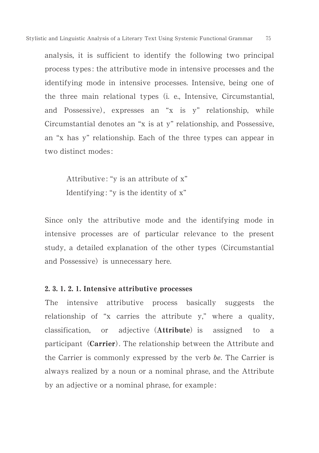analysis, it is sufficient to identify the following two principal process types : the attributive mode in intensive processes and the identifying mode in intensive processes. Intensive, being one of the three main relational types (i. e., Intensive, Circumstantial, and Possessive, expresses an "x is y" relationship, while Circumstantial denotes an "x is at y" relationship, and Possessive, an "x has y" relationship. Each of the three types can appear in two distinct modes :

Attributive: "y is an attribute of x" Identifying : "y is the identity of x"

Since only the attributive mode and the identifying mode in intensive processes are of particular relevance to the present study, a detailed explanation of the other types (Circumstantial and Possessive) is unnecessary here.

## 2. 3. 1. 2. 1. Intensive attributive processes

The intensive attributive process basically suggests the relationship of "x carries the attribute y," where a quality, classification, or adjective (**Attribute**) is assigned to a participant (Carrier). The relationship between the Attribute and the Carrier is commonly expressed by the verb be. The Carrier is always realized by a noun or a nominal phrase, and the Attribute by an adjective or a nominal phrase, for example :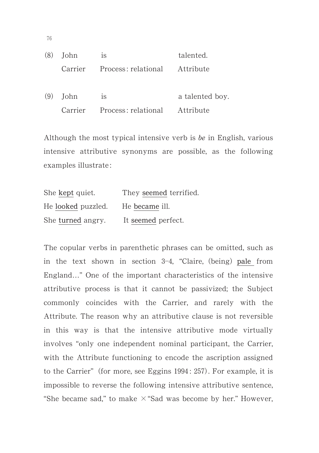|     | $(8)$ John | <sup>is</sup>                         | talented.       |
|-----|------------|---------------------------------------|-----------------|
|     |            | Carrier Process: relational Attribute |                 |
| (9) | John       | <sup>is</sup>                         | a talented boy. |
|     |            | Carrier Process: relational Attribute |                 |

Although the most typical intensive verb is be in English, various intensive attributive synonyms are possible, as the following examples illustrate :

| She kept quiet.    | They seemed terrified. |
|--------------------|------------------------|
| He looked puzzled. | He became ill.         |
| She turned angry.  | It seemed perfect.     |

The copular verbs in parenthetic phrases can be omitted, such as in the text shown in section 3-4, "Claire, (being) pale from England…" One of the important characteristics of the intensive attributive process is that it cannot be passivized; the Subject commonly coincides with the Carrier, and rarely with the Attribute. The reason why an attributive clause is not reversible in this way is that the intensive attributive mode virtually involves "only one independent nominal participant, the Carrier, with the Attribute functioning to encode the ascription assigned to the Carrier" (for more, see Eggins 1994: 257). For example, it is impossible to reverse the following intensive attributive sentence, "She became sad," to make  $\times$  "Sad was become by her." However,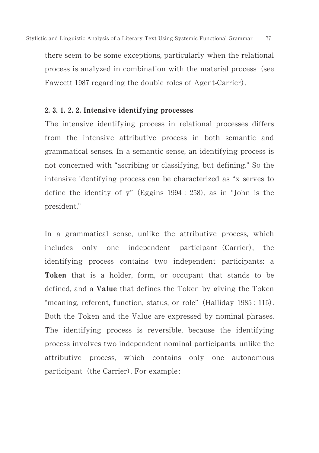there seem to be some exceptions, particularly when the relational process is analyzed in combination with the material process (see Fawcett 1987 regarding the double roles of Agent-Carrier).

## $2, 3, 1, 2, 2$ . Intensive identifying processes

The intensive identifying process in relational processes differs from the intensive attributive process in both semantic and grammatical senses. In a semantic sense, an identifying process is not concerned with "ascribing or classifying, but defining." So the intensive identifying process can be characterized as "x serves to define the identity of y" (Eggins  $1994: 258$ ), as in "John is the president."

In a grammatical sense, unlike the attributive process, which includes only one independent participant (Carrier), the identifying process contains two independent participants: a Token that is a holder, form, or occupant that stands to be defined, and a Value that defines the Token by giving the Token "meaning, referent, function, status, or role" (Halliday 1985: 115). Both the Token and the Value are expressed by nominal phrases. The identifying process is reversible, because the identifying process involves two independent nominal participants, unlike the attributive process, which contains only one autonomous participant (the Carrier). For example: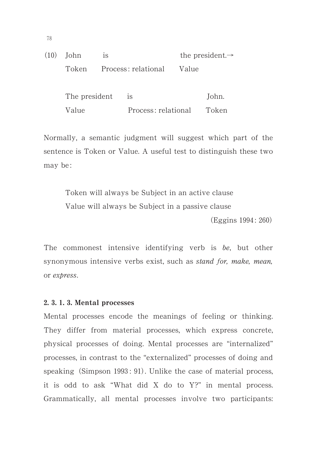|  | $(10)$ John<br>1S |  |                           |  | the president. $\rightarrow$ |
|--|-------------------|--|---------------------------|--|------------------------------|
|  | Token             |  | Process: relational Value |  |                              |
|  | The president     |  | 1S                        |  | John.                        |
|  | Value             |  | Process: relational       |  | Token                        |

Normally, a semantic judgment will suggest which part of the sentence is Token or Value. A useful test to distinguish these two may be :

Token will always be Subject in an active clause Value will always be Subject in a passive clause

(Eggins 1994: 260)

The commonest intensive identifying verb is be, but other synonymous intensive verbs exist, such as stand for, make, mean, or express.

#### 2, 3, 1, 3, Mental processes

Mental processes encode the meanings of feeling or thinking. They differ from material processes, which express concrete, physical processes of doing. Mental processes are "internalized" processes, in contrast to the "externalized" processes of doing and speaking (Simpson 1993: 91). Unlike the case of material process, it is odd to ask "What did X do to Y?" in mental process. Grammatically, all mental processes involve two participants: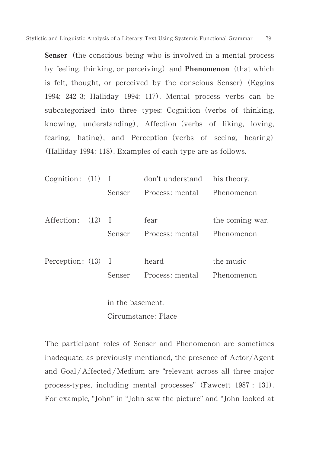Senser (the conscious being who is involved in a mental process by feeling, thinking, or perceiving) and Phenomenon (that which is felt, thought, or perceived by the conscious Senser) (Eggins 1994: 242-3; Halliday 1994: 117). Mental process verbs can be subcategorized into three types: Cognition (verbs of thinking, knowing, understanding), Affection (verbs of liking, loving, fearing, hating), and Perception (verbs of seeing, hearing) (Halliday 1994: 118). Examples of each type are as follows.

| Cognition: (11) I  |                  | don't understand his theory. |                 |
|--------------------|------------------|------------------------------|-----------------|
|                    | Senser           | Process: mental              | Phenomenon      |
|                    |                  |                              |                 |
| Affection: (12) I  |                  | fear                         | the coming war. |
|                    | Senser           | Process: mental              | Phenomenon      |
| Perception: (13) I |                  | heard                        | the music       |
|                    | Senser           | Process: mental              | Phenomenon      |
|                    | in the basement. |                              |                 |

Circumstance : Place

The participant roles of Senser and Phenomenon are sometimes inadequate; as previously mentioned, the presence of Actor/Agent and Goal /Affected /Medium are "relevant across all three major process-types, including mental processes" (Fawcett 1987: 131). For example, "John" in "John saw the picture" and "John looked at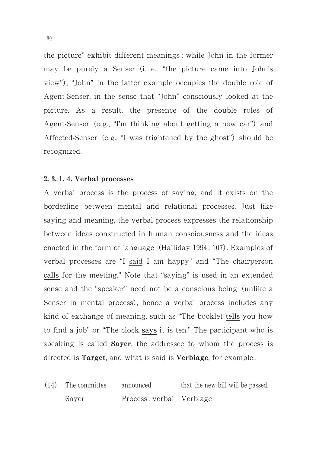the picture" exhibit different meanings ; while John in the former may be purely a Senser (i. e., "the picture came into John's view", "John" in the latter example occupies the double role of Agent-Senser, in the sense that "John" consciously looked at the picture. As a result, the presence of the double roles of Agent-Senser (e.g., "I'm thinking about getting a new car") and Affected-Senser (e.g., "I was frightened by the ghost") should be recognized.

#### 2. 3. 1. 4. Verbal processes

A verbal process is the process of saying, and it exists on the borderline between mental and relational processes. Just like saying and meaning, the verbal process expresses the relationship between ideas constructed in human consciousness and the ideas enacted in the form of language (Halliday 1994: 107). Examples of verbal processes are "I said I am happy" and "The chairperson calls for the meeting." Note that "saying" is used in an extended sense and the "speaker" need not be a conscious being (unlike a Senser in mental process, hence a verbal process includes any kind of exchange of meaning, such as "The booklet tells you how to find a job" or "The clock says it is ten." The participant who is speaking is called **Sayer**, the addressee to whom the process is directed is **Target**, and what is said is **Verbiage**, for example:

 $(14)$ The committee announced that the new bill will be passed. Sayer Process: verbal Verbiage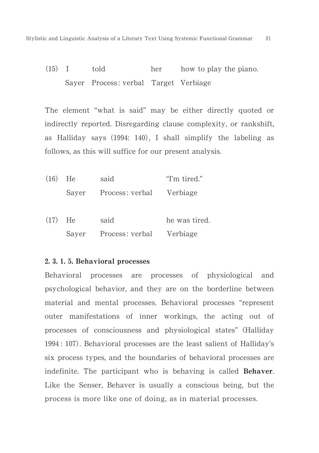$(15)$ told her how to play the piano. Sayer Process: verbal Target Verbiage

The element "what is said" may be either directly quoted or indirectly reported. Disregarding clause complexity, or rankshift, as Halliday says (1994: 140), I shall simplify the labeling as follows, as this will suffice for our present analysis.

| $(16)$ He | said                           | "I'm tired."  |
|-----------|--------------------------------|---------------|
|           | Sayer Process: verbal Verbiage |               |
| $(17)$ He | said                           | he was tired. |
|           | Sayer Process: verbal Verbiage |               |

#### 2, 3, 1, 5. Behavioral processes

Behavioral processes are processes of physiological and psychological behavior, and they are on the borderline between material and mental processes. Behavioral processes "represent outer manifestations of inner workings, the acting out of processes of consciousness and physiological states" (Halliday 1994: 107). Behavioral processes are the least salient of Halliday's six process types, and the boundaries of behavioral processes are indefinite. The participant who is behaving is called Behaver. Like the Senser, Behaver is usually a conscious being, but the process is more like one of doing, as in material processes.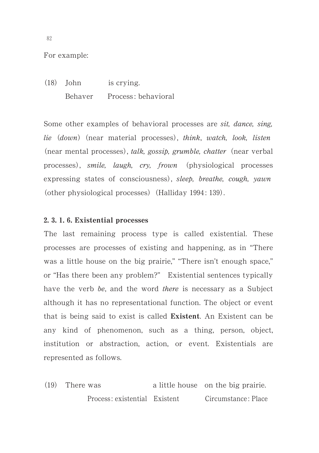For example:

 $(18)$  John is crying. Behaver Process: behavioral

Some other examples of behavioral processes are sit, dance, sing, lie (down) (near material processes), think, watch, look, listen (near mental processes), talk, gossip, grumble, chatter (near verbal processes), *smile*, *laugh*, *cry*, *frown* (physiological processes expressing states of consciousness), sleep, breathe, cough, yawn (other physiological processes) (Halliday 1994: 139).

## 2. 3. 1. 6. Existential processes

The last remaining process type is called existential. These processes are processes of existing and happening, as in "There was a little house on the big prairie," "There isn't enough space," or "Has there been any problem?" Existential sentences typically have the verb be, and the word there is necessary as a Subject although it has no representational function. The object or event that is being said to exist is called Existent. An Existent can be any kind of phenomenon, such as a thing, person, object, institution or abstraction, action, or event. Existentials are represented as follows.

 $(19)$ a little house on the big prairie. Process: existential Existent Circumstance: Place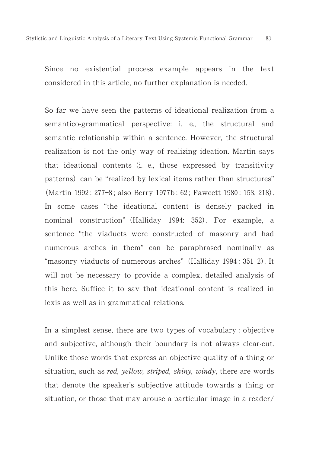Since no existential process example appears in the text considered in this article, no further explanation is needed.

So far we have seen the patterns of ideational realization from a semantico-grammatical perspective: i. e., the structural and semantic relationship within a sentence. However, the structural realization is not the only way of realizing ideation. Martin says that ideational contents (i. e., those expressed by transitivity patterns) can be "realized by lexical items rather than structures" (Martin 1992: 277-8; also Berry 1977b: 62; Fawcett 1980: 153, 218). In some cases "the ideational content is densely packed in nominal construction" (Halliday 1994: 352). For example, a sentence "the viaducts were constructed of masonry and had numerous arches in them" can be paraphrased nominally as "masonry viaducts of numerous arches" (Halliday 1994: 351-2). It will not be necessary to provide a complex, detailed analysis of this here. Suffice it to say that ideational content is realized in lexis as well as in grammatical relations.

In a simplest sense, there are two types of vocabulary : objective and subjective, although their boundary is not always clear-cut. Unlike those words that express an objective quality of a thing or situation, such as *red, yellow, striped, shiny, windy*, there are words that denote the speaker's subjective attitude towards a thing or situation, or those that may arouse a particular image in a reader/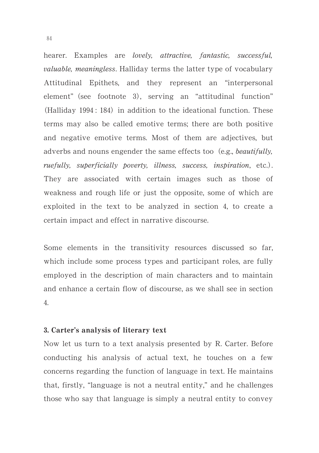hearer. Examples are lovely, attractive, fantastic, successful, valuable, meaningless. Halliday terms the latter type of vocabulary Attitudinal Epithets, and they represent an "interpersonal element" (see footnote 3), serving an "attitudinal function" (Halliday 1994: 184) in addition to the ideational function. These terms may also be called emotive terms; there are both positive and negative emotive terms. Most of them are adjectives, but adverbs and nouns engender the same effects too (e.g., *beautifully*, ruefully, superficially poverty, illness, success, inspiration, etc.). They are associated with certain images such as those of weakness and rough life or just the opposite, some of which are exploited in the text to be analyzed in section 4, to create a certain impact and effect in narrative discourse.

Some elements in the transitivity resources discussed so far, which include some process types and participant roles, are fully employed in the description of main characters and to maintain and enhance a certain flow of discourse, as we shall see in section ..

## 3. Carter's analysis of literary text

Now let us turn to a text analysis presented by R. Carter. Before conducting his analysis of actual text, he touches on a few concerns regarding the function of language in text. He maintains that, firstly, "language is not a neutral entity," and he challenges those who say that language is simply a neutral entity to convey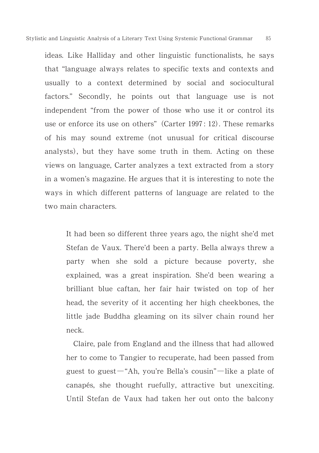ideas. Like Halliday and other linguistic functionalists, he says that "language always relates to specific texts and contexts and usually to a context determined by social and sociocultural factors." Secondly, he points out that language use is not independent "from the power of those who use it or control its use or enforce its use on others" (Carter 1997: 12). These remarks of his may sound extreme (not unusual for critical discourse analysts), but they have some truth in them. Acting on these views on language, Carter analyzes a text extracted from a story in a women's magazine. He argues that it is interesting to note the ways in which different patterns of language are related to the two main characters.

It had been so different three years ago, the night she'd met Stefan de Vaux. There'd been a party. Bella always threw a party when she sold a picture because poverty, she explained, was a great inspiration. She'd been wearing a brilliant blue caftan, her fair hair twisted on top of her head, the severity of it accenting her high cheekbones, the little jade Buddha gleaming on its silver chain round her neck.

Claire, pale from England and the illness that had allowed her to come to Tangier to recuperate, had been passed from guest to guest  $-$ "Ah, you're Bella's cousin" $-$ like a plate of canapés, she thought ruefully, attractive but unexciting. Until Stefan de Vaux had taken her out onto the balcony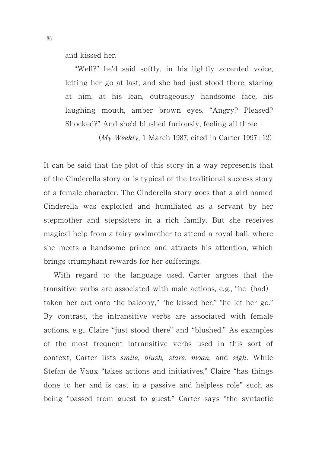and kissed her.

"Well?" he'd said softly, in his lightly accented voice, letting her go at last, and she had just stood there, staring at him, at his lean, outrageously handsome face, his laughing mouth, amber brown eyes. "Angry? Pleased? Shocked?" And she'd blushed furiously, feeling all three.

(My Weekly, 1 March 1987, cited in Carter 1997: 12)

It can be said that the plot of this story in a way represents that of the Cinderella story or is typical of the traditional success story of a female character. The Cinderella story goes that a girl named Cinderella was exploited and humiliated as a servant by her stepmother and stepsisters in a rich family. But she receives magical help from a fairy godmother to attend a royal ball, where she meets a handsome prince and attracts his attention, which brings triumphant rewards for her sufferings.

With regard to the language used, Carter argues that the transitive verbs are associated with male actions, e.g., "he (had) taken her out onto the balcony," "he kissed her," "he let her go." By contrast, the intransitive verbs are associated with female actions, e.g., Claire "just stood there" and "blushed." As examples of the most frequent intransitive verbs used in this sort of context, Carter lists smile, blush, stare, moan, and sigh. While Stefan de Vaux "takes actions and initiatives," Claire "has things done to her and is cast in a passive and helpless role" such as being "passed from guest to guest." Carter says "the syntactic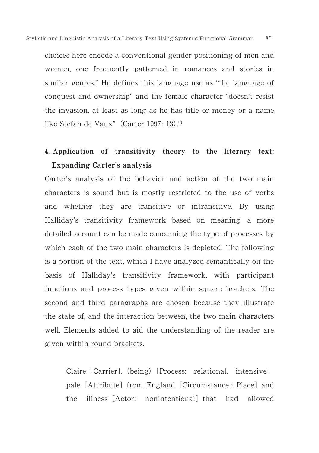choices here encode a conventional gender positioning of men and women, one frequently patterned in romances and stories in similar genres." He defines this language use as "the language of conquest and ownership" and the female character "doesn't resist the invasion, at least as long as he has title or money or a name like Stefan de Vaux" (Carter  $1997:13$ ).<sup>9)</sup>

## 4. Application of transitivity theory to the literary text: Expanding Carter's analysis

Carter's analysis of the behavior and action of the two main characters is sound but is mostly restricted to the use of verbs and whether they are transitive or intransitive. By using Halliday's transitivity framework based on meaning, a more detailed account can be made concerning the type of processes by which each of the two main characters is depicted. The following is a portion of the text, which I have analyzed semantically on the basis of Halliday's transitivity framework, with participant functions and process types given within square brackets. The second and third paragraphs are chosen because they illustrate the state of, and the interaction between, the two main characters well. Elements added to aid the understanding of the reader are given within round brackets.

Claire [Carrier], (being) [Process: relational, intensive] pale [Attribute] from England [Circumstance : Place] and the illness [Actor: nonintentional] that had allowed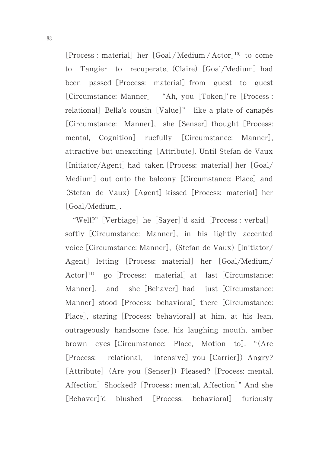[Process : material] her [Goal/Medium/Actor]<sup>10)</sup> to come to Tangier to recuperate, (Claire) [Goal/Medium] had been passed [Process: material] from guest to guest [Circumstance: Manner] - "Ah, you [Token]' re [Process : relational] Bella's cousin [Value]"—like a plate of canapés [Circumstance: Manner], she [Senser] thought [Process: mental, Cognition] ruefully [Circumstance: Manner], attractive but unexciting [Attribute]. Until Stefan de Vaux [Initiator/Agent] had taken [Process: material] her [Goal/ Medium] out onto the balcony [Circumstance: Place] and (Stefan de Vaux) [Agent] kissed [Process: material] her [Goal/Medium].

"Well?" [Verbiage] he [Sayer]'d said [Process: verbal] softly [Circumstance: Manner], in his lightly accented voice [Circumstance: Manner], (Stefan de Vaux) [Initiator/ Agent] letting [Process: material] her [Goal/Medium/ Actor]<sup>11)</sup> go [Process: material] at last [Circumstance: Manner], and she [Behaver] had just [Circumstance: Manner] stood [Process: behavioral] there [Circumstance: Place], staring [Process: behavioral] at him, at his lean, outrageously handsome face, his laughing mouth, amber brown eyes [Circumstance: Place, Motion to]. "(Are Process: Process: relational, intensive] you [Carrier]) Angry? [Attribute] (Are you [Senser]) Pleased? [Process: mental, Affection] Shocked? [Process: mental, Affection]" And she [Behaver]'d blushed [Process: behavioral] furiously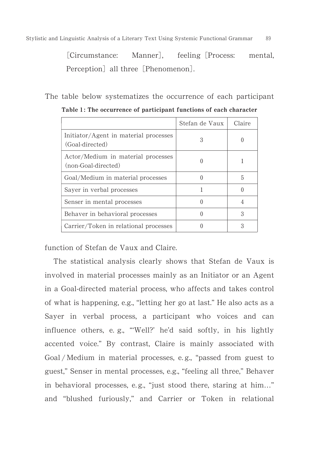[Circumstance: Manner], feeling [ feeling [Process: mental, Perception] all three [Phenomenon].

The table below systematizes the occurrence of each participant

|                                                           | Stefan de Vaux | Claire |
|-----------------------------------------------------------|----------------|--------|
| Initiator/Agent in material processes<br>(Goal-directed)  | 3              |        |
| Actor/Medium in material processes<br>(non-Goal-directed) |                |        |
| Goal/Medium in material processes                         |                | 5      |
| Sayer in verbal processes                                 |                |        |
| Senser in mental processes                                |                |        |
| Behaver in behavioral processes                           |                | 3      |
| Carrier/Token in relational processes                     |                | З      |

Table 1: The occurrence of participant functions of each character

function of Stefan de Vaux and Claire.

The statistical analysis clearly shows that Stefan de Vaux is involved in material processes mainly as an Initiator or an Agent in a Goal-directed material process, who affects and takes control of what is happening, e.g., "letting her go at last." He also acts as a Sayer in verbal process, a participant who voices and can influence others, e. g., "'Well?' he'd said softly, in his lightly accented voice." By contrast, Claire is mainly associated with Goal / Medium in material processes, e. g., "passed from guest to guest," Senser in mental processes, e.g., "feeling all three," Behaver in behavioral processes, e. g., "just stood there, staring at him…" and "blushed furiously," and Carrier or Token in relational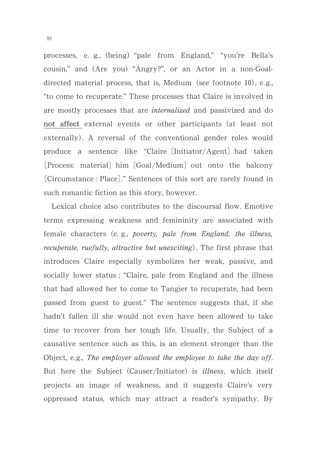processes, e. g., (being) "pale from England," "you're Bella's cousin," and (Are you) "Angry?", or an Actor in a non-Goaldirected material process, that is, Medium (see footnote 10), e.g., "to come to recuperate." These processes that Claire is involved in are mostly processes that are internalized and passivized and do not affect external events or other participants (at least not externally. A reversal of the conventional gender roles would produce a sentence like "Claire [Initiator/Agent] had taken [Process: material] him [Goal/Medium] out onto the balcony [Circumstance : Place]." Sentences of this sort are rarely found in such romantic fiction as this story, however.

Lexical choice also contributes to the discoursal flow. Emotive terms expressing weakness and femininity are associated with female characters (e.g., poverty, pale from England, the illness, recuperate, ruefully, attractive but unexciting). The first phrase that introduces Claire especially symbolizes her weak, passive, and socially lower status ; "Claire, pale from England and the illness that had allowed her to come to Tangier to recuperate, had been passed from guest to guest." The sentence suggests that, if she hadn't fallen ill she would not even have been allowed to take time to recover from her tough life. Usually, the Subject of a causative sentence such as this, is an element stronger than the Object, e.g., The employer allowed the employee to take the day off. But here the Subject (Causer/Initiator) is *illness*, which itself projects an image of weakness, and it suggests Claire's very oppressed status, which may attract a reader's sympathy. By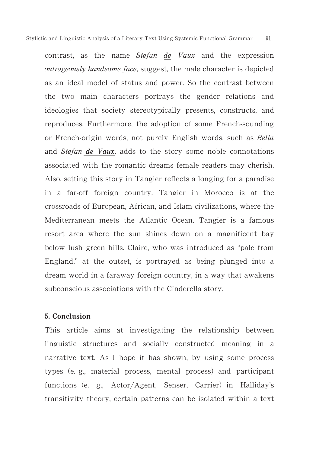contrast, as the name Stefan de Vaux and the expression outrageously handsome face, suggest, the male character is depicted as an ideal model of status and power. So the contrast between the two main characters portrays the gender relations and ideologies that society stereotypically presents, constructs, and reproduces. Furthermore, the adoption of some French-sounding or French-origin words, not purely English words, such as Bella and Stefan de Vaux, adds to the story some noble connotations associated with the romantic dreams female readers may cherish. Also, setting this story in Tangier reflects a longing for a paradise in a far-off foreign country. Tangier in Morocco is at the crossroads of European, African, and Islam civilizations, where the Mediterranean meets the Atlantic Ocean. Tangier is a famous resort area where the sun shines down on a magnificent bay below lush green hills. Claire, who was introduced as "pale from England," at the outset, is portrayed as being plunged into a dream world in a faraway foreign country, in a way that awakens subconscious associations with the Cinderella story.

## 5. Conclusion

This article aims at investigating the relationship between linguistic structures and socially constructed meaning in a narrative text. As I hope it has shown, by using some process types (e.g., material process, mental process) and participant functions (e. g., Actor/Agent, Senser, Carrier) in Halliday's transitivity theory, certain patterns can be isolated within a text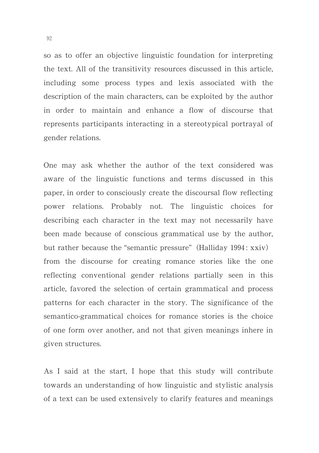so as to offer an objective linguistic foundation for interpreting the text. All of the transitivity resources discussed in this article, including some process types and lexis associated with the description of the main characters, can be exploited by the author in order to maintain and enhance a flow of discourse that represents participants interacting in a stereotypical portrayal of gender relations.

One may ask whether the author of the text considered was aware of the linguistic functions and terms discussed in this paper, in order to consciously create the discoursal flow reflecting power relations. Probably not. The linguistic choices for describing each character in the text may not necessarily have been made because of conscious grammatical use by the author, but rather because the "semantic pressure" (Halliday 1994: xxiv) from the discourse for creating romance stories like the one reflecting conventional gender relations partially seen in this article, favored the selection of certain grammatical and process patterns for each character in the story. The significance of the semantico-grammatical choices for romance stories is the choice of one form over another, and not that given meanings inhere in given structures.

As I said at the start, I hope that this study will contribute towards an understanding of how linguistic and stylistic analysis of a text can be used extensively to clarify features and meanings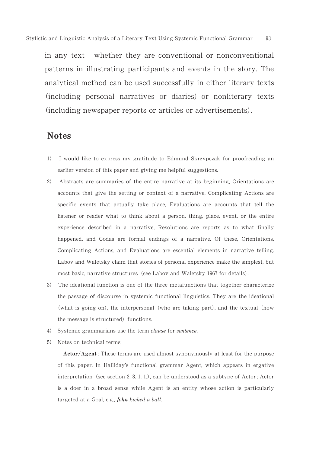in any text—whether they are conventional or nonconventional patterns in illustrating participants and events in the story. The analytical method can be used successfully in either literary texts (including personal narratives or diaries) or nonliterary texts (including newspaper reports or articles or advertisements).

93

## **Notes**

- $\left(1\right)$  I would like to express my gratitude to Edmund Skrzypczak for proofreading an earlier version of this paper and giving me helpful suggestions.
- , Abstracts are summaries of the entire narrative at its beginning, Orientations are accounts that give the setting or context of a narrative, Complicating Actions are specific events that actually take place, Evaluations are accounts that tell the listener or reader what to think about a person, thing, place, event, or the entire experience described in a narrative, Resolutions are reports as to what finally happened, and Codas are formal endings of a narrative. Of these, Orientations, Complicating Actions, and Evaluations are essential elements in narrative telling. Labov and Waletsky claim that stories of personal experience make the simplest, but most basic, narrative structures (see Labov and Waletsky 1967 for details).
- 3) The ideational function is one of the three metafunctions that together characterize the passage of discourse in systemic functional linguistics. They are the ideational (what is going on), the interpersonal (who are taking part), and the textual (how the message is structured) functions.
- 4) Systemic grammarians use the term *clause* for sentence.
- 5) Notes on technical terms:

Actor/Agent: These terms are used almost synonymously at least for the purpose of this paper. In Halliday's functional grammar Agent, which appears in ergative interpretation (see section  $2, 3, 1, 1$ .), can be understood as a subtype of Actor; Actor is a doer in a broad sense while Agent is an entity whose action is particularly targeted at a Goal, e.g., *John kicked a ball*.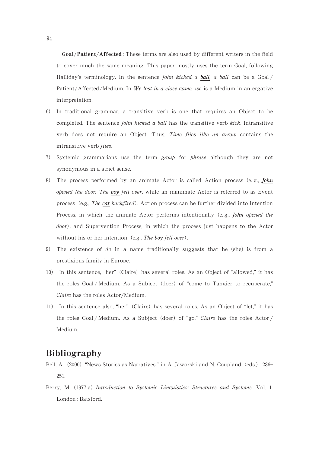Goal/Patient/Affected : These terms are also used by different writers in the field to cover much the same meaning. This paper mostly uses the term Goal, following Halliday's terminology. In the sentence *John kicked a ball*, a ball can be a Goal/ Patient/Affected/Medium. In We lost in a close game, we is a Medium in an ergative interpretation.

- 0- In traditional grammar, a transitive verb is one that requires an Object to be completed. The sentence John kicked a ball has the transitive verb kick. Intransitive verb does not require an Object. Thus, Time flies like an arrow contains the intransitive verb flies.
- 7) Systemic grammarians use the term group for phrase although they are not synonymous in a strict sense.
- 8) The process performed by an animate Actor is called Action process (e.g., *John* opened the door, The boy fell over, while an inanimate Actor is referred to as Event process (e.g., The car backfired). Action process can be further divided into Intention Process, in which the animate Actor performs intentionally (e.g., *John opened the* door), and Supervention Process, in which the process just happens to the Actor without his or her intention (e.g., The boy fell over).
- 9) The existence of de in a name traditionally suggests that he (she) is from a prestigious family in Europe.
- 10) In this sentence, "her" (Claire) has several roles. As an Object of "allowed," it has the roles Goal / Medium. As a Subject (doer) of "come to Tangier to recuperate," Claire has the roles Actor/Medium.
- 11) In this sentence also, "her" (Claire) has several roles. As an Object of "let," it has the roles Goal / Medium. As a Subject (doer) of "go," Claire has the roles Actor / Medium.

## Bibliography

- Bell, A. (2000) "News Stories as Narratives," in A. Jaworski and N. Coupland (eds.): 236-251.
- Berry, M. (1977 a) Introduction to Systemic Linguistics: Structures and Systems. Vol. 1. London: Batsford.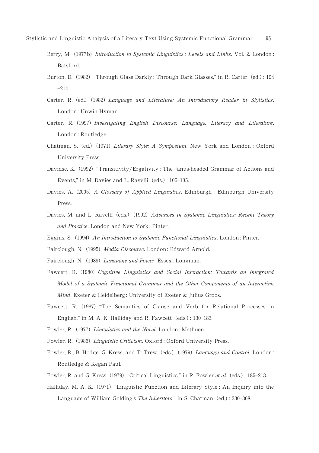- Berry, M. (1977b) Introduction to Systemic Linguistics : Levels and Links. Vol. 2. London : Batsford.
- Burton, D. (1982) "Through Glass Darkly: Through Dark Glasses," in R. Carter (ed.): 194  $-214.$
- Carter, R. (ed.) (1982) Language and Literature: An Introductory Reader in Stylistics London : Unwin Hyman.
- Carter, R. (1997) Investigating English Discourse: Language, Literacy and Literature. London : Routledge.
- Chatman, S. (ed.) (1971) Literary Style: A Symposium. New York and London : Oxford University Press.
- Davidse, K. (1992) "Transitivity/Ergativity: The Janus-headed Grammar of Actions and Events," in M. Davies and L. Ravelli (eds.): 105-135.
- Davies, A. (2005) A Glossary of Applied Linguistics. Edinburgh : Edinburgh University Press.
- Davies, M. and L. Ravelli (eds.) (1992) Advances in Systemic Linguistics: Recent Theory and Practice. London and New York : Pinter.
- Eggins, S. (1994) An Introduction to Systemic Functional Linguistics. London: Pinter.
- Fairclough, N. (1995) Media Discourse. London: Edward Arnold.
- Fairclough, N. (1989) Language and Power. Essex: Longman.
- Fawcett, R. (1980) Cognitive Linguistics and Social Interaction: Towards an Integrated Model of a Systemic Functional Grammar and the Other Components of an Interacting Mind. Exeter & Heidelberg : University of Exeter & Julius Groos.
- Fawcett, R. (1987) "The Semantics of Clause and Verb for Relational Processes in English," in M. A. K. Halliday and R. Fawcett (eds.): 130-183.
- Fowler, R. (1977) Linguistics and the Novel. London: Methuen.
- Fowler, R. (1986) Linguistic Criticism. Oxford: Oxford University Press.
- Fowler, R., B. Hodge, G. Kress, and T. Trew (eds.) (1979) *Language and Control.* London Routledge & Kegan Paul.
- Fowler, R. and G. Kress (1979) "Critical Linguistics," in R. Fowler et al. (eds.): 185-213
- Halliday, M. A. K. (1971) "Linguistic Function and Literary Style: An Inquiry into the Language of William Golding's The Inheritors," in S. Chatman (ed.): 330-368.